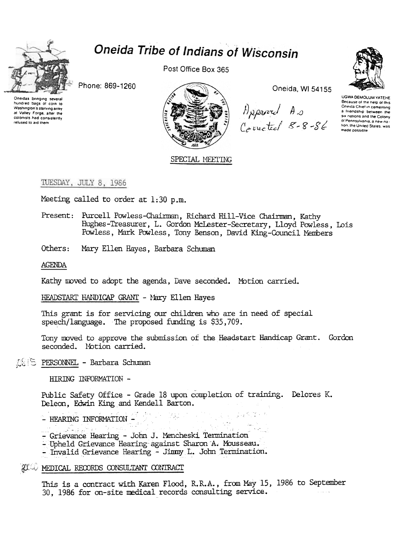

# Oneida Tribe of Indians of Wisconsin

Phone: 869-1260



Post Office Box 365



Oneida, WI 54155

Approved As<br>Corrected 8-8-86

**UGWA DEMOLUM YATEHE** Because of the help of this Oneida Chief in cementing a friendship between the six nations and the Colony.<br>Six nations and the Colony.<br>of Pennsylvania, a new nation, the United States, was made possible

SPECIAL MEETING

## TUESDAY, JULY 8, 1986

Meeting called to order at 1:30 p.m.

- Present: Purcell Powless-Chairman, Richard Hill-Vice Chairman, Kathy Hughes-Treasurer, L. Gordon McLester-Secretary, Lloyd Powless, Lois Powless, Mark Powless, Tony Benson, David King-Council Members
- Others: Mary Ellen Hayes, Barbara Schuman

AGENDA

Kathy moved to adopt the agenda, Dave seconded. Motion carried.

HEADSTART HANDICAP GRANT - Mary Ellen Hayes

This grant is for servicing our children who are in need of special speech/language. The proposed funding is \$35,709.

Tony moved to approve the submission of the Headstart Handicap Grant. Gordon seconded. Motion carried.

## OSIS PERSONNEL - Barbara Schuman

HIRING INFORMATION -

Public Safety Office - Grade 18 upon completion of training. Delores K. Deleon, Edwin King and Kendell Barton.

- HEARING INFORMATION -
- Grievance Hearing John J. Mencheski Termination
- Upheld Grievance Hearing against Sharon A. Mousseau.
- Invalid Grievance Hearing Jimmy L. John Termination.

## **ACCO MEDICAL RECORDS CONSULTANT CONTRACT**

This is a contract with Karen Flood, R.R.A., from May 15, 1986 to September 30, 1986 for on-site medical records consulting service.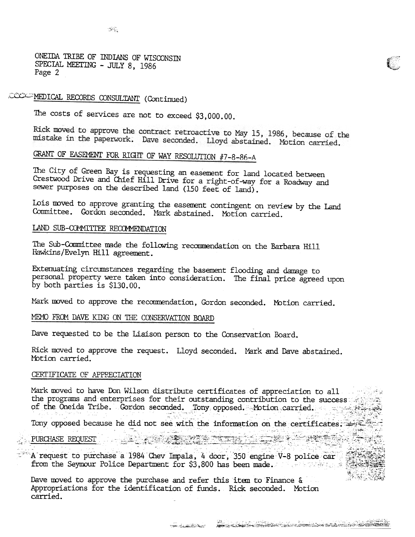$\mathcal{D}^{(1)}$ 

ONEIDA TRIBE OF INDIANS OF WISCONSIN SPECIAL MEETING - JULY 8, 1986 Page 2

# COCC-MEDICAL RECORDS CONSULTANT (Continued)

The costs of services are not to exceed \$3,000.00.

Rick moved to approve the contract retroactive to May 15, 1986, because of the mistake in the paperwork. Dave seconded. Lloyd abstained. Motion carried.

# GRANT OF EASEMENT FOR RIGHT OF WAY RESOLUTION #7-8-86-A

The City of Green Bay is requesting an easement for land located between Crestwood Drive and Chief Hill Drive for a right-of-way for a Roadway and sewer purposes on the described land (150 feet of land).

Lois moved to approve granting the easement contingent on review by the Land Committee. Gordon seconded. Mark abstained. Motion carried.

#### LAND SUB-COMMITTEE RECOMMENDATION

The Sub-Committee made the following recommendation on the Barbara Hill Hawkins/Evelyn Hill agreement.

Extenuating circumstances regarding the basement flooding and damage to personal property were taken into consideration. The final price agreed upon by both parties is \$130.00.

Mark moved to approve the recommendation, Gordon seconded. Motion carried.

#### MEMO FROM DAVE KING ON THE CONSERVATION BOARD

Dave requested to be the Liaison person to the Conservation Board.

Rick moved to approve the request. Lloyd seconded. Mark and Dave abstained. Motion carried.

#### CERTIFICATE OF APPRECIATION

Mark moved to have Don Wilson distribute certificates of appreciation to all were set the programs and enterprises for their outstanding contribution to the success of the Oneida Tribe. Gordon seconded. Tony opposed. Motion carried. Tony opposed because he did not see with the information on the certificates.

#### PURCHASE REQUEST

A request to purchase a 1984 Chev Impala, 4 door, 350 engine V-8 police car from the Seymour Police Department for \$3,800 has been made.

Dave moved to approve the purchase and refer this item to Finance  $\delta$ Appropriations for the identification of funds. Rick seconded. Motion carried.